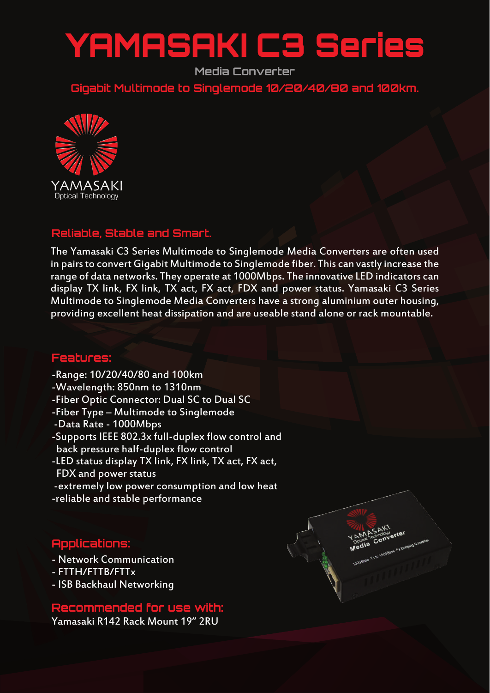# YAMASAKI C3 Series

**Media Converter**

**Gigabit Multimode to Singlemode 10/20/40/80 and 100km.**



### **Reliable, Stable and Smart.**

The Yamasaki C3 Series Multimode to Singlemode Media Converters are often used in pairs to convert Gigabit Multimode to Singlemode fiber. This can vastly increase the range of data networks. They operate at 1000Mbps. The innovative LED indicators can display TX link, FX link, TX act, FX act, FDX and power status. Yamasaki C3 Series Multimode to Singlemode Media Converters have a strong aluminium outer housing, providing excellent heat dissipation and are useable stand alone or rack mountable.

**MASAKI** 

### **Features:**

- -Range: 10/20/40/80 and 100km
- -Wavelength: 850nm to 1310nm
- -Fiber Optic Connector: Dual SC to Dual SC
- -Fiber Type Multimode to Singlemode
- -Data Rate 1000Mbps
- -Supports IEEE 802.3x full-duplex flow control and back pressure half-duplex flow control
- -LED status display TX link, FX link, TX act, FX act, FDX and power status
- -extremely low power consumption and low heat
- -reliable and stable performance

## **Applications:**

- Network Communication
- FTTH/FTTB/FTTx
- ISB Backhaul Networking

### **Recommended for use with:**

Yamasaki R142 Rack Mount 19" 2RU